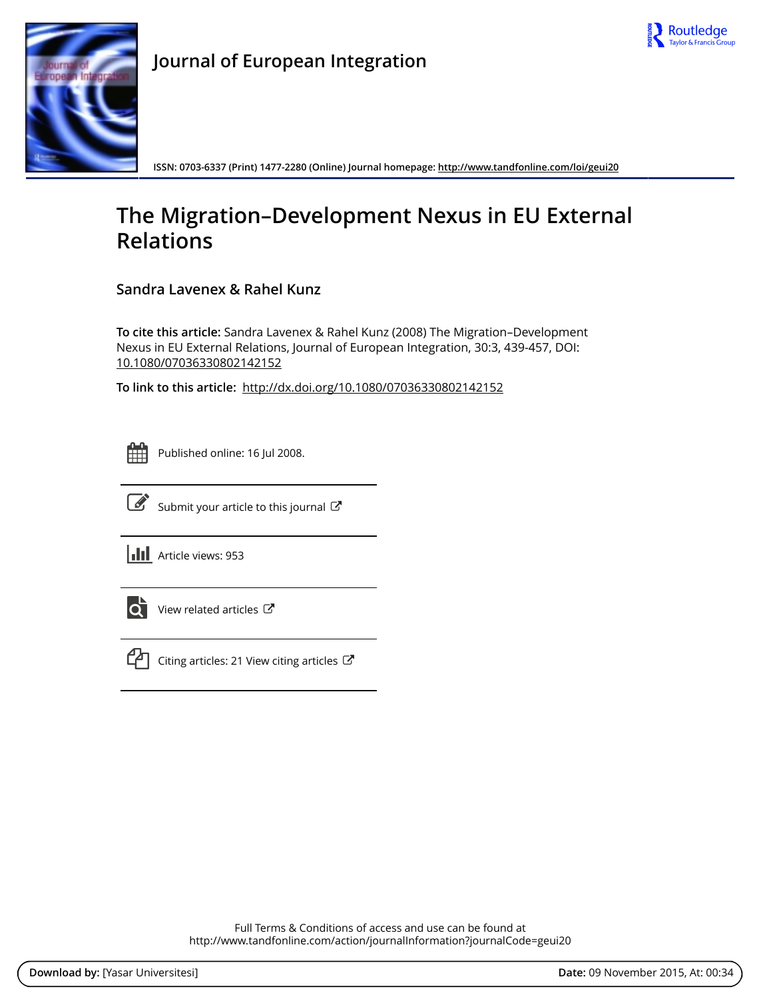



Journal of European Integration

ISSN: 0703-6337 (Print) 1477-2280 (Online) Journal homepage:<http://www.tandfonline.com/loi/geui20>

## The Migration–Development Nexus in EU External Relations

Sandra Lavenex & Rahel Kunz

To cite this article: Sandra Lavenex & Rahel Kunz (2008) The Migration–Development Nexus in EU External Relations, Journal of European Integration, 30:3, 439-457, DOI: [10.1080/07036330802142152](http://www.tandfonline.com/action/showCitFormats?doi=10.1080/07036330802142152)

To link to this article: <http://dx.doi.org/10.1080/07036330802142152>

| - | <b>Service Service</b> | _ | -<br><b>Service Service</b> |
|---|------------------------|---|-----------------------------|
|   |                        |   |                             |
|   |                        |   |                             |
|   |                        |   |                             |

Published online: 16 Jul 2008.



 $\overline{\mathscr{L}}$  [Submit your article to this journal](http://www.tandfonline.com/action/authorSubmission?journalCode=geui20&page=instructions)  $\mathbb{Z}$ 

**III** Article views: 953



 $\overrightarrow{Q}$  [View related articles](http://www.tandfonline.com/doi/mlt/10.1080/07036330802142152)  $\overrightarrow{C}$ 



 $\Box$  [Citing articles: 21 View citing articles](http://www.tandfonline.com/doi/citedby/10.1080/07036330802142152#tabModule)  $\Box$ 

Full Terms & Conditions of access and use can be found at <http://www.tandfonline.com/action/journalInformation?journalCode=geui20>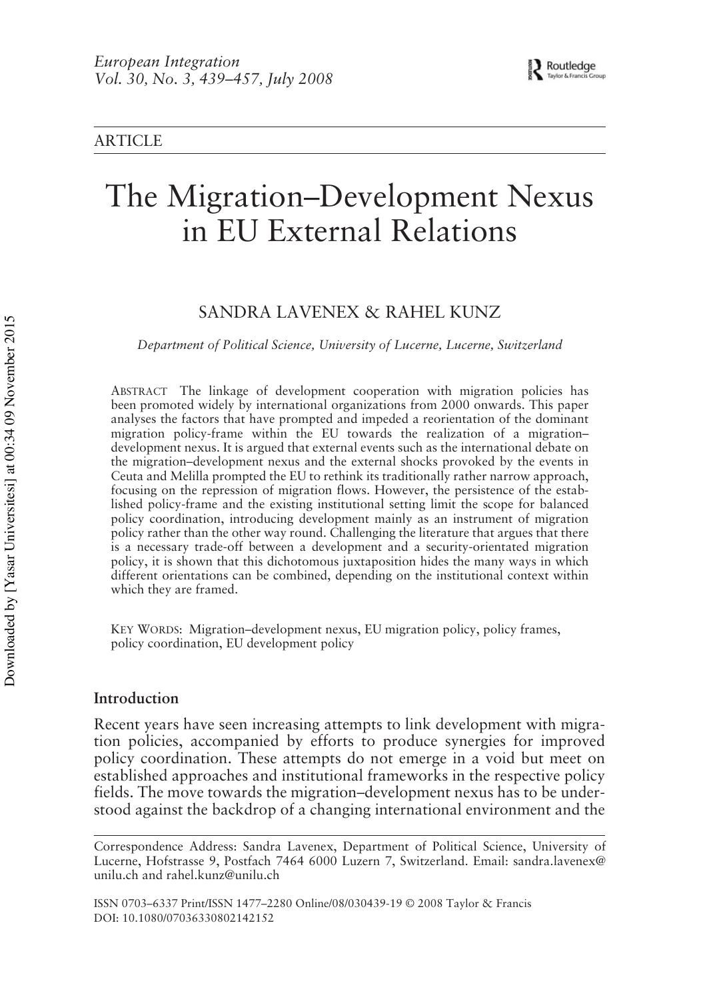# The Migration–Development Nexus in EU External Relations

### SANDRA LAVENEX & RAHEL KUNZ

*Department of Political Science, University of Lucerne, Lucerne, Switzerland*

ABSTRACT The linkage of development cooperation with migration policies has been promoted widely by international organizations from 2000 onwards. This paper analyses the factors that have prompted and impeded a reorientation of the dominant migration policy-frame within the EU towards the realization of a migration– development nexus. It is argued that external events such as the international debate on the migration–development nexus and the external shocks provoked by the events in Ceuta and Melilla prompted the EU to rethink its traditionally rather narrow approach, focusing on the repression of migration flows. However, the persistence of the established policy-frame and the existing institutional setting limit the scope for balanced policy coordination, introducing development mainly as an instrument of migration policy rather than the other way round. Challenging the literature that argues that there is a necessary trade-off between a development and a security-orientated migration policy, it is shown that this dichotomous juxtaposition hides the many ways in which different orientations can be combined, depending on the institutional context within which they are framed.

KEY WORDS: Migration–development nexus, EU migration policy, policy frames, policy coordination, EU development policy

#### **Introduction**

Recent years have seen increasing attempts to link development with migration policies, accompanied by efforts to produce synergies for improved policy coordination. These attempts do not emerge in a void but meet on established approaches and institutional frameworks in the respective policy fields. The move towards the migration–development nexus has to be understood against the backdrop of a changing international environment and the

ISSN 0703–6337 Print/ISSN 1477–2280 Online/08/030439-19 © 2008 Taylor & Francis DOI: 10.1080/07036330802142152

Correspondence Address: Sandra Lavenex, Department of Political Science, University of Lucerne, Hofstrasse 9, Postfach 7464 6000 Luzern 7, Switzerland. Email: sandra.lavenex@ unilu.ch and rahel.kunz@unilu.ch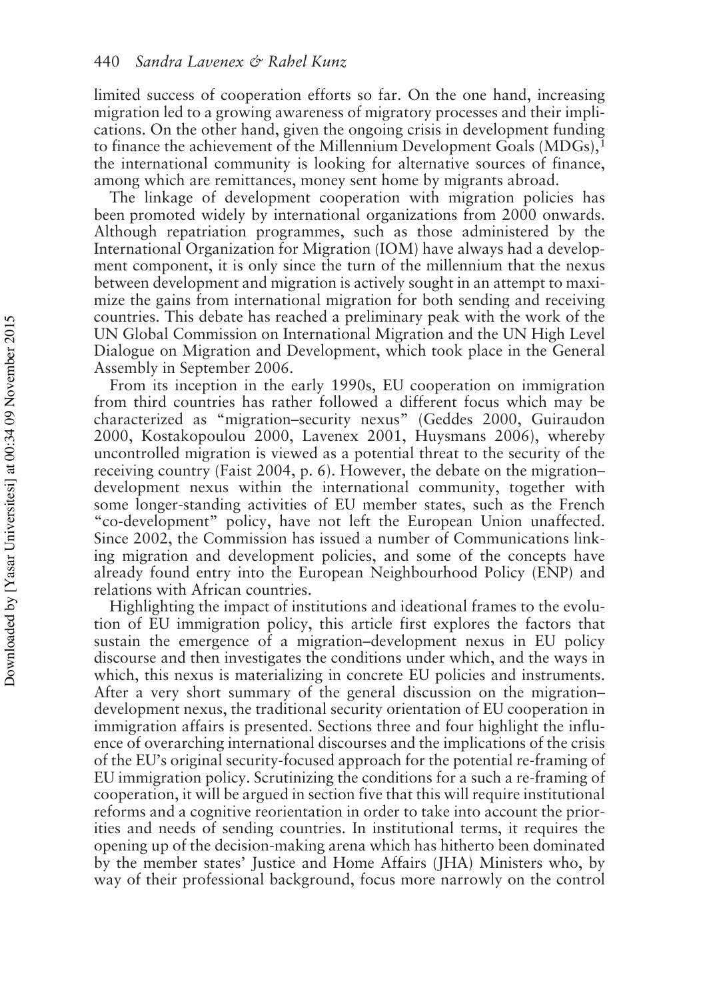limited success of cooperation efforts so far. On the one hand, increasing migration led to a growing awareness of migratory processes and their implications. On the other hand, given the ongoing crisis in development funding to finance the achievement of the Millennium Development Goals (MDGs),<sup>1</sup> the international community is looking for alternative sources of finance, among which are remittances, money sent home by migrants abroad.

The linkage of development cooperation with migration policies has been promoted widely by international organizations from 2000 onwards. Although repatriation programmes, such as those administered by the International Organization for Migration (IOM) have always had a development component, it is only since the turn of the millennium that the nexus between development and migration is actively sought in an attempt to maximize the gains from international migration for both sending and receiving countries. This debate has reached a preliminary peak with the work of the UN Global Commission on International Migration and the UN High Level Dialogue on Migration and Development, which took place in the General Assembly in September 2006.

From its inception in the early 1990s, EU cooperation on immigration from third countries has rather followed a different focus which may be characterized as "migration–security nexus" (Geddes 2000, Guiraudon 2000, Kostakopoulou 2000, Lavenex 2001, Huysmans 2006), whereby uncontrolled migration is viewed as a potential threat to the security of the receiving country (Faist 2004, p. 6). However, the debate on the migration– development nexus within the international community, together with some longer-standing activities of EU member states, such as the French "co-development" policy, have not left the European Union unaffected. Since 2002, the Commission has issued a number of Communications linking migration and development policies, and some of the concepts have already found entry into the European Neighbourhood Policy (ENP) and relations with African countries.

Highlighting the impact of institutions and ideational frames to the evolution of EU immigration policy, this article first explores the factors that sustain the emergence of a migration–development nexus in EU policy discourse and then investigates the conditions under which, and the ways in which, this nexus is materializing in concrete EU policies and instruments. After a very short summary of the general discussion on the migration– development nexus, the traditional security orientation of EU cooperation in immigration affairs is presented. Sections three and four highlight the influence of overarching international discourses and the implications of the crisis of the EU's original security-focused approach for the potential re-framing of EU immigration policy. Scrutinizing the conditions for a such a re-framing of cooperation, it will be argued in section five that this will require institutional reforms and a cognitive reorientation in order to take into account the priorities and needs of sending countries. In institutional terms, it requires the opening up of the decision-making arena which has hitherto been dominated by the member states' Justice and Home Affairs (JHA) Ministers who, by way of their professional background, focus more narrowly on the control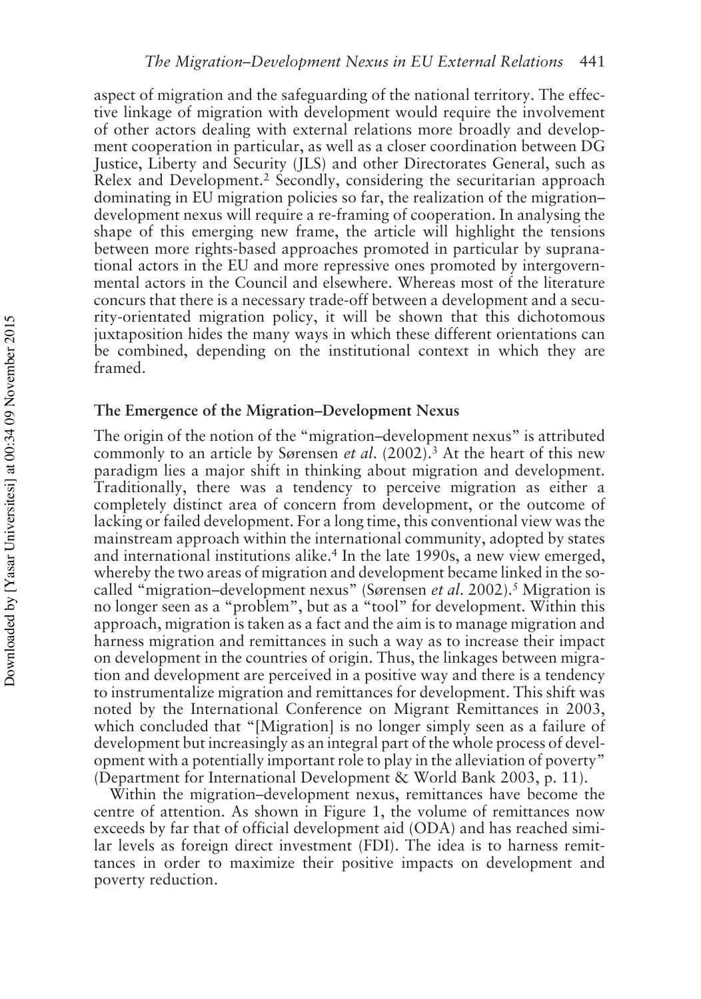aspect of migration and the safeguarding of the national territory. The effective linkage of migration with development would require the involvement of other actors dealing with external relations more broadly and development cooperation in particular, as well as a closer coordination between DG Justice, Liberty and Security (JLS) and other Directorates General, such as Relex and Development.2 Secondly, considering the securitarian approach dominating in EU migration policies so far, the realization of the migration– development nexus will require a re-framing of cooperation. In analysing the shape of this emerging new frame, the article will highlight the tensions between more rights-based approaches promoted in particular by supranational actors in the EU and more repressive ones promoted by intergovernmental actors in the Council and elsewhere. Whereas most of the literature concurs that there is a necessary trade-off between a development and a security-orientated migration policy, it will be shown that this dichotomous juxtaposition hides the many ways in which these different orientations can be combined, depending on the institutional context in which they are framed.

#### **The Emergence of the Migration–Development Nexus**

The origin of the notion of the "migration–development nexus" is attributed commonly to an article by Sørensen *et al*. (2002).3 At the heart of this new paradigm lies a major shift in thinking about migration and development. Traditionally, there was a tendency to perceive migration as either a completely distinct area of concern from development, or the outcome of lacking or failed development. For a long time, this conventional view was the mainstream approach within the international community, adopted by states and international institutions alike.<sup>4</sup> In the late 1990s, a new view emerged, whereby the two areas of migration and development became linked in the socalled "migration–development nexus" (Sørensen *et al*. 2002).5 Migration is no longer seen as a "problem", but as a "tool" for development. Within this approach, migration is taken as a fact and the aim is to manage migration and harness migration and remittances in such a way as to increase their impact on development in the countries of origin. Thus, the linkages between migration and development are perceived in a positive way and there is a tendency to instrumentalize migration and remittances for development. This shift was noted by the International Conference on Migrant Remittances in 2003, which concluded that "[Migration] is no longer simply seen as a failure of development but increasingly as an integral part of the whole process of development with a potentially important role to play in the alleviation of poverty" (Department for International Development & World Bank 2003, p. 11).

Within the migration–development nexus, remittances have become the centre of attention. As shown in Figure 1, the volume of remittances now exceeds by far that of official development aid (ODA) and has reached similar levels as foreign direct investment (FDI). The idea is to harness remittances in order to maximize their positive impacts on development and poverty reduction.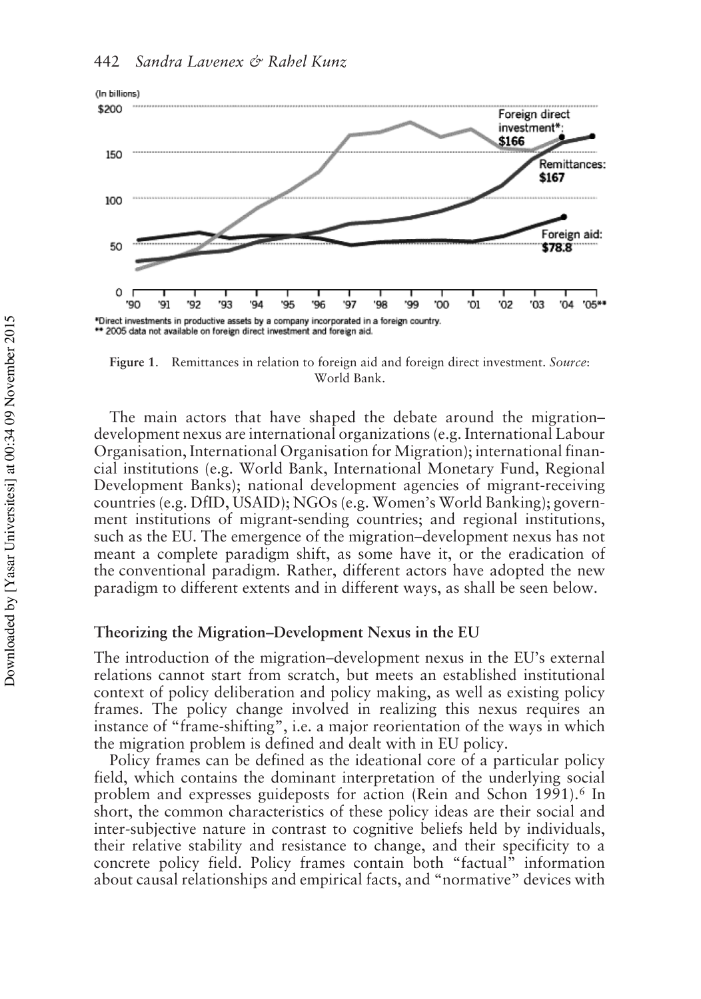

**Figure 1**. Remittances in relation to foreign aid and foreign direct investment. *Source*: World Bank.

The main actors that have shaped the debate around the migrationdevelopment nexus are international organizations (e.g. International Labour Organisation, International Organisation for Migration); international financial institutions (e.g. World Bank, International Monetary Fund, Regional Development Banks); national development agencies of migrant-receiving countries (e.g. DfID, USAID); NGOs (e.g. Women's World Banking); government institutions of migrant-sending countries; and regional institutions, such as the EU. The emergence of the migration–development nexus has not meant a complete paradigm shift, as some have it, or the eradication of the conventional paradigm. Rather, different actors have adopted the new paradigm to different extents and in different ways, as shall be seen below.

#### **Theorizing the Migration–Development Nexus in the EU**

The introduction of the migration–development nexus in the EU's external relations cannot start from scratch, but meets an established institutional context of policy deliberation and policy making, as well as existing policy frames. The policy change involved in realizing this nexus requires an instance of "frame-shifting", i.e. a major reorientation of the ways in which the migration problem is defined and dealt with in EU policy.

Policy frames can be defined as the ideational core of a particular policy field, which contains the dominant interpretation of the underlying social problem and expresses guideposts for action (Rein and Schon 1991).<sup>6</sup> In short, the common characteristics of these policy ideas are their social and inter-subjective nature in contrast to cognitive beliefs held by individuals, their relative stability and resistance to change, and their specificity to a concrete policy field. Policy frames contain both "factual" information about causal relationships and empirical facts, and "normative" devices with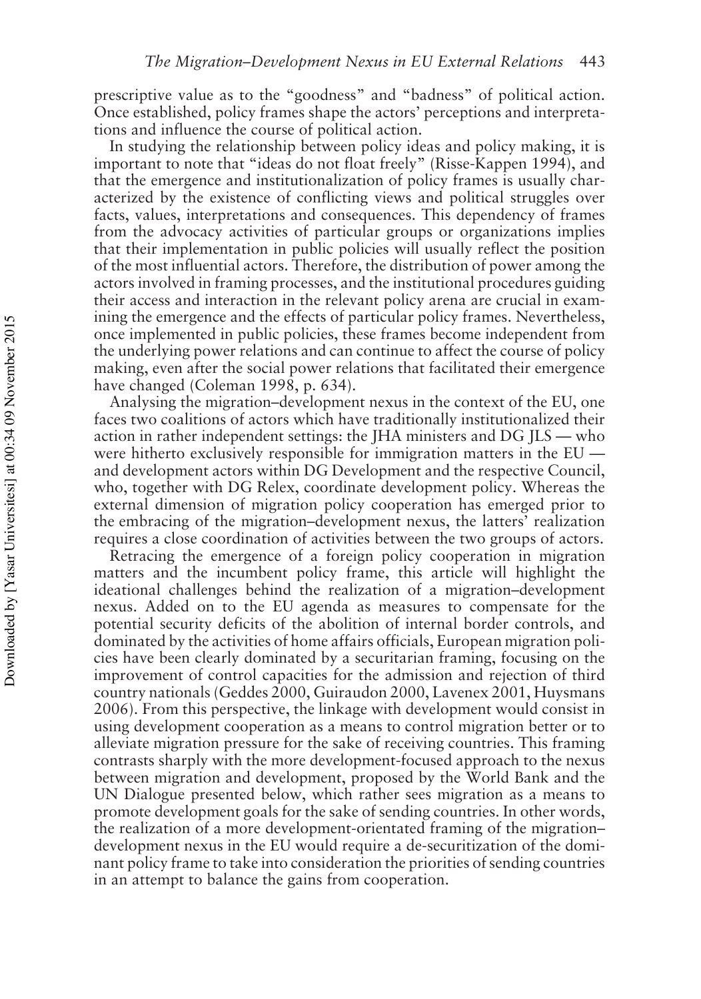prescriptive value as to the "goodness" and "badness" of political action. Once established, policy frames shape the actors' perceptions and interpretations and influence the course of political action.

In studying the relationship between policy ideas and policy making, it is important to note that "ideas do not float freely" (Risse-Kappen 1994), and that the emergence and institutionalization of policy frames is usually characterized by the existence of conflicting views and political struggles over facts, values, interpretations and consequences. This dependency of frames from the advocacy activities of particular groups or organizations implies that their implementation in public policies will usually reflect the position of the most influential actors. Therefore, the distribution of power among the actors involved in framing processes, and the institutional procedures guiding their access and interaction in the relevant policy arena are crucial in examining the emergence and the effects of particular policy frames. Nevertheless, once implemented in public policies, these frames become independent from the underlying power relations and can continue to affect the course of policy making, even after the social power relations that facilitated their emergence have changed (Coleman 1998, p. 634).

Analysing the migration–development nexus in the context of the EU, one faces two coalitions of actors which have traditionally institutionalized their action in rather independent settings: the JHA ministers and DG JLS — who were hitherto exclusively responsible for immigration matters in the EU and development actors within DG Development and the respective Council, who, together with DG Relex, coordinate development policy. Whereas the external dimension of migration policy cooperation has emerged prior to the embracing of the migration–development nexus, the latters' realization requires a close coordination of activities between the two groups of actors.

Retracing the emergence of a foreign policy cooperation in migration matters and the incumbent policy frame, this article will highlight the ideational challenges behind the realization of a migration–development nexus. Added on to the EU agenda as measures to compensate for the potential security deficits of the abolition of internal border controls, and dominated by the activities of home affairs officials, European migration policies have been clearly dominated by a securitarian framing, focusing on the improvement of control capacities for the admission and rejection of third country nationals (Geddes 2000, Guiraudon 2000, Lavenex 2001, Huysmans 2006). From this perspective, the linkage with development would consist in using development cooperation as a means to control migration better or to alleviate migration pressure for the sake of receiving countries. This framing contrasts sharply with the more development-focused approach to the nexus between migration and development, proposed by the World Bank and the UN Dialogue presented below, which rather sees migration as a means to promote development goals for the sake of sending countries. In other words, the realization of a more development-orientated framing of the migration– development nexus in the EU would require a de-securitization of the dominant policy frame to take into consideration the priorities of sending countries in an attempt to balance the gains from cooperation.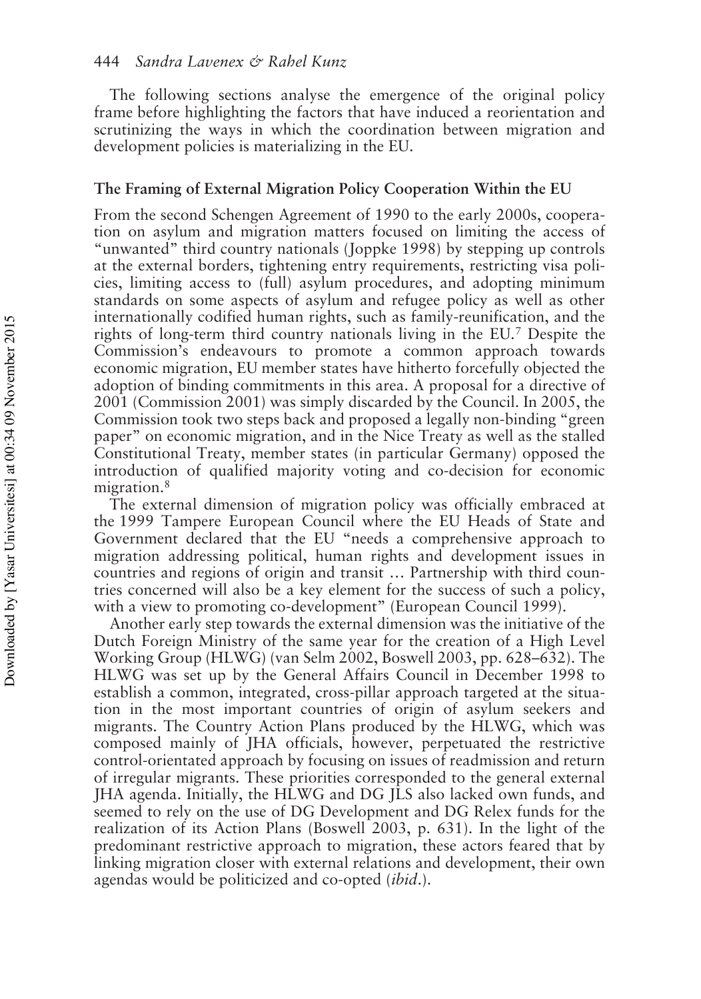The following sections analyse the emergence of the original policy frame before highlighting the factors that have induced a reorientation and scrutinizing the ways in which the coordination between migration and development policies is materializing in the EU.

#### **The Framing of External Migration Policy Cooperation Within the EU**

From the second Schengen Agreement of 1990 to the early 2000s, cooperation on asylum and migration matters focused on limiting the access of "unwanted" third country nationals (Joppke 1998) by stepping up controls at the external borders, tightening entry requirements, restricting visa policies, limiting access to (full) asylum procedures, and adopting minimum standards on some aspects of asylum and refugee policy as well as other internationally codified human rights, such as family-reunification, and the rights of long-term third country nationals living in the EU.7 Despite the Commission's endeavours to promote a common approach towards economic migration, EU member states have hitherto forcefully objected the adoption of binding commitments in this area. A proposal for a directive of 2001 (Commission 2001) was simply discarded by the Council. In 2005, the Commission took two steps back and proposed a legally non-binding "green paper" on economic migration, and in the Nice Treaty as well as the stalled Constitutional Treaty, member states (in particular Germany) opposed the introduction of qualified majority voting and co-decision for economic migration.<sup>8</sup>

The external dimension of migration policy was officially embraced at the 1999 Tampere European Council where the EU Heads of State and Government declared that the EU "needs a comprehensive approach to migration addressing political, human rights and development issues in countries and regions of origin and transit … Partnership with third countries concerned will also be a key element for the success of such a policy, with a view to promoting co-development" (European Council 1999).

Another early step towards the external dimension was the initiative of the Dutch Foreign Ministry of the same year for the creation of a High Level Working Group (HLWG) (van Selm 2002, Boswell 2003, pp. 628–632). The HLWG was set up by the General Affairs Council in December 1998 to establish a common, integrated, cross-pillar approach targeted at the situation in the most important countries of origin of asylum seekers and migrants. The Country Action Plans produced by the HLWG, which was composed mainly of JHA officials, however, perpetuated the restrictive control-orientated approach by focusing on issues of readmission and return of irregular migrants. These priorities corresponded to the general external JHA agenda. Initially, the HLWG and DG JLS also lacked own funds, and seemed to rely on the use of DG Development and DG Relex funds for the realization of its Action Plans (Boswell 2003, p. 631). In the light of the predominant restrictive approach to migration, these actors feared that by linking migration closer with external relations and development, their own agendas would be politicized and co-opted (*ibid*.).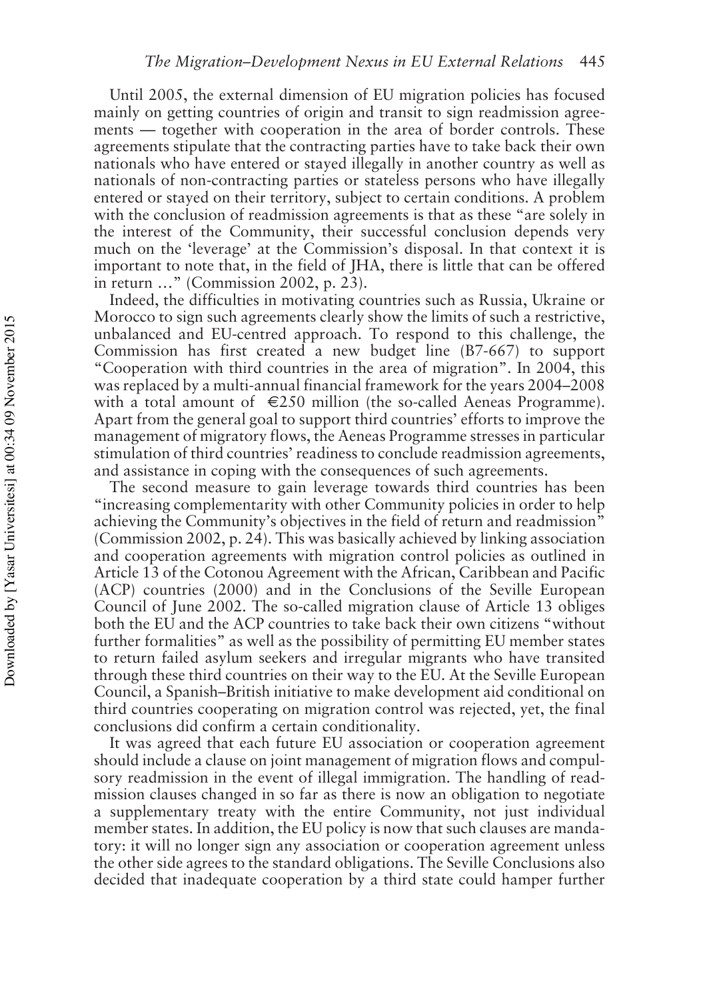Until 2005, the external dimension of EU migration policies has focused mainly on getting countries of origin and transit to sign readmission agreements — together with cooperation in the area of border controls. These agreements stipulate that the contracting parties have to take back their own nationals who have entered or stayed illegally in another country as well as nationals of non-contracting parties or stateless persons who have illegally entered or stayed on their territory, subject to certain conditions. A problem with the conclusion of readmission agreements is that as these "are solely in the interest of the Community, their successful conclusion depends very much on the 'leverage' at the Commission's disposal. In that context it is important to note that, in the field of JHA, there is little that can be offered in return …" (Commission 2002, p. 23).

Indeed, the difficulties in motivating countries such as Russia, Ukraine or Morocco to sign such agreements clearly show the limits of such a restrictive, unbalanced and EU-centred approach. To respond to this challenge, the Commission has first created a new budget line (B7-667) to support "Cooperation with third countries in the area of migration". In 2004, this was replaced by a multi-annual financial framework for the years 2004–2008 with a total amount of  $\epsilon$ 250 million (the so-called Aeneas Programme). Apart from the general goal to support third countries' efforts to improve the management of migratory flows, the Aeneas Programme stresses in particular stimulation of third countries' readiness to conclude readmission agreements, and assistance in coping with the consequences of such agreements.

The second measure to gain leverage towards third countries has been "increasing complementarity with other Community policies in order to help achieving the Community's objectives in the field of return and readmission" (Commission 2002, p. 24). This was basically achieved by linking association and cooperation agreements with migration control policies as outlined in Article 13 of the Cotonou Agreement with the African, Caribbean and Pacific (ACP) countries (2000) and in the Conclusions of the Seville European Council of June 2002. The so-called migration clause of Article 13 obliges both the EU and the ACP countries to take back their own citizens "without further formalities" as well as the possibility of permitting EU member states to return failed asylum seekers and irregular migrants who have transited through these third countries on their way to the EU. At the Seville European Council, a Spanish–British initiative to make development aid conditional on third countries cooperating on migration control was rejected, yet, the final conclusions did confirm a certain conditionality.

It was agreed that each future EU association or cooperation agreement should include a clause on joint management of migration flows and compulsory readmission in the event of illegal immigration. The handling of readmission clauses changed in so far as there is now an obligation to negotiate a supplementary treaty with the entire Community, not just individual member states. In addition, the EU policy is now that such clauses are mandatory: it will no longer sign any association or cooperation agreement unless the other side agrees to the standard obligations. The Seville Conclusions also decided that inadequate cooperation by a third state could hamper further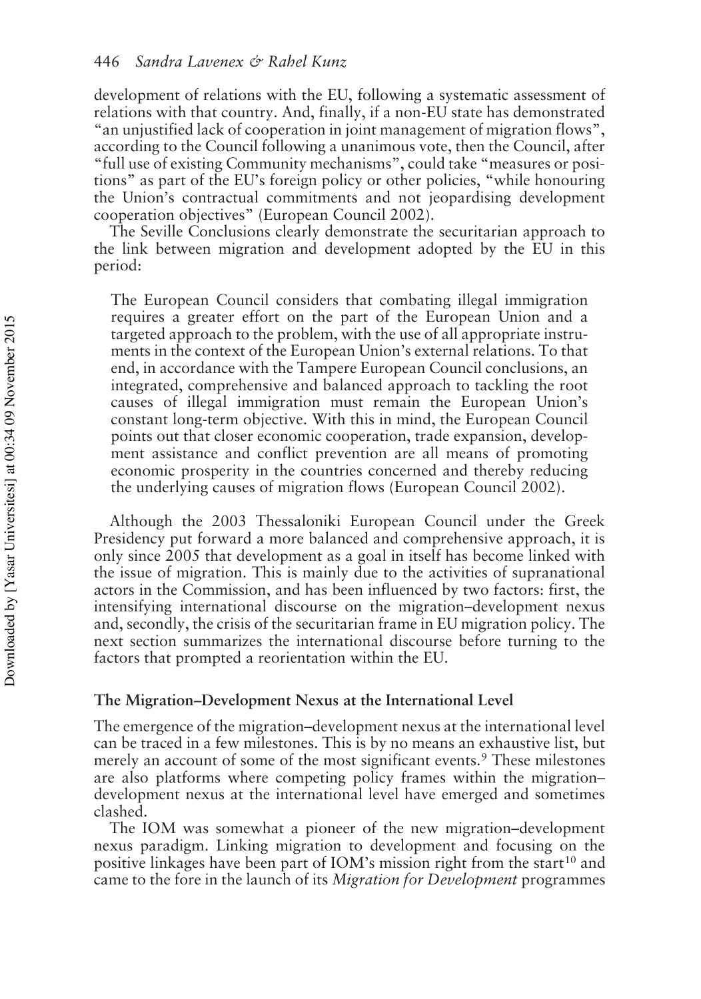development of relations with the EU, following a systematic assessment of relations with that country. And, finally, if a non-EU state has demonstrated "an unjustified lack of cooperation in joint management of migration flows", according to the Council following a unanimous vote, then the Council, after "full use of existing Community mechanisms", could take "measures or positions" as part of the EU's foreign policy or other policies, "while honouring the Union's contractual commitments and not jeopardising development cooperation objectives" (European Council 2002).

The Seville Conclusions clearly demonstrate the securitarian approach to the link between migration and development adopted by the EU in this period:

The European Council considers that combating illegal immigration requires a greater effort on the part of the European Union and a targeted approach to the problem, with the use of all appropriate instruments in the context of the European Union's external relations. To that end, in accordance with the Tampere European Council conclusions, an integrated, comprehensive and balanced approach to tackling the root causes of illegal immigration must remain the European Union's constant long-term objective. With this in mind, the European Council points out that closer economic cooperation, trade expansion, development assistance and conflict prevention are all means of promoting economic prosperity in the countries concerned and thereby reducing the underlying causes of migration flows (European Council 2002).

Although the 2003 Thessaloniki European Council under the Greek Presidency put forward a more balanced and comprehensive approach, it is only since 2005 that development as a goal in itself has become linked with the issue of migration. This is mainly due to the activities of supranational actors in the Commission, and has been influenced by two factors: first, the intensifying international discourse on the migration–development nexus and, secondly, the crisis of the securitarian frame in EU migration policy. The next section summarizes the international discourse before turning to the factors that prompted a reorientation within the EU.

#### **The Migration–Development Nexus at the International Level**

The emergence of the migration–development nexus at the international level can be traced in a few milestones. This is by no means an exhaustive list, but merely an account of some of the most significant events.<sup>9</sup> These milestones are also platforms where competing policy frames within the migration– development nexus at the international level have emerged and sometimes clashed.

The IOM was somewhat a pioneer of the new migration–development nexus paradigm. Linking migration to development and focusing on the positive linkages have been part of IOM's mission right from the start<sup>10</sup> and came to the fore in the launch of its *Migration for Development* programmes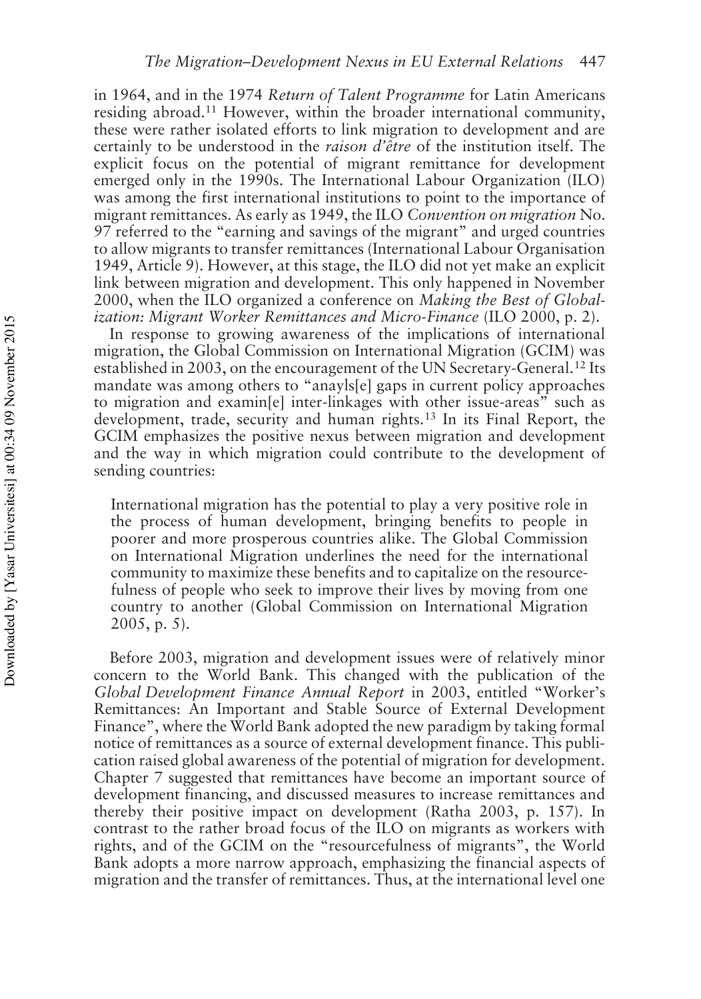in 1964, and in the 1974 *Return of Talent Programme* for Latin Americans residing abroad.11 However, within the broader international community, these were rather isolated efforts to link migration to development and are certainly to be understood in the *raison d'être* of the institution itself. The explicit focus on the potential of migrant remittance for development emerged only in the 1990s. The International Labour Organization (ILO) was among the first international institutions to point to the importance of migrant remittances. As early as 1949, the ILO *Convention on migration* No. 97 referred to the "earning and savings of the migrant" and urged countries to allow migrants to transfer remittances (International Labour Organisation 1949, Article 9). However, at this stage, the ILO did not yet make an explicit link between migration and development. This only happened in November 2000, when the ILO organized a conference on *Making the Best of Globalization: Migrant Worker Remittances and Micro-Finance* (ILO 2000, p. 2).

In response to growing awareness of the implications of international migration, the Global Commission on International Migration (GCIM) was established in 2003, on the encouragement of the UN Secretary-General.12 Its mandate was among others to "anayls[e] gaps in current policy approaches to migration and examin[e] inter-linkages with other issue-areas" such as development, trade, security and human rights.<sup>13</sup> In its Final Report, the GCIM emphasizes the positive nexus between migration and development and the way in which migration could contribute to the development of sending countries:

International migration has the potential to play a very positive role in the process of human development, bringing benefits to people in poorer and more prosperous countries alike. The Global Commission on International Migration underlines the need for the international community to maximize these benefits and to capitalize on the resourcefulness of people who seek to improve their lives by moving from one country to another (Global Commission on International Migration 2005, p. 5).

Before 2003, migration and development issues were of relatively minor concern to the World Bank. This changed with the publication of the *Global Development Finance Annual Report* in 2003, entitled "Worker's Remittances: An Important and Stable Source of External Development Finance", where the World Bank adopted the new paradigm by taking formal notice of remittances as a source of external development finance. This publication raised global awareness of the potential of migration for development. Chapter 7 suggested that remittances have become an important source of development financing, and discussed measures to increase remittances and thereby their positive impact on development (Ratha 2003, p. 157). In contrast to the rather broad focus of the ILO on migrants as workers with rights, and of the GCIM on the "resourcefulness of migrants", the World Bank adopts a more narrow approach, emphasizing the financial aspects of migration and the transfer of remittances. Thus, at the international level one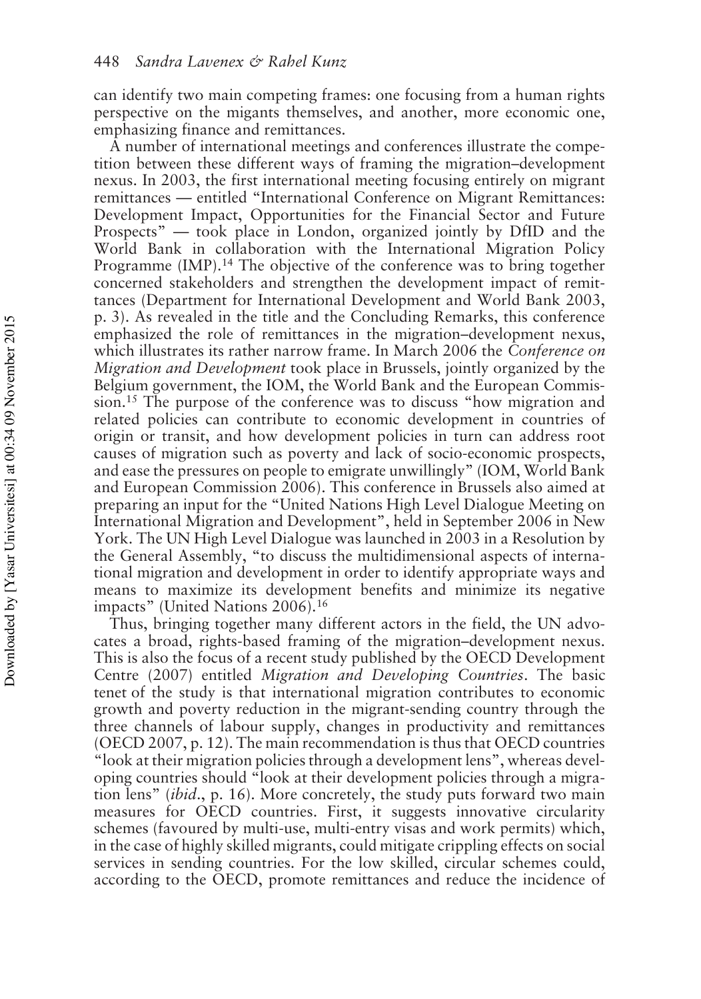can identify two main competing frames: one focusing from a human rights perspective on the migants themselves, and another, more economic one, emphasizing finance and remittances.

A number of international meetings and conferences illustrate the competition between these different ways of framing the migration–development nexus. In 2003, the first international meeting focusing entirely on migrant remittances — entitled "International Conference on Migrant Remittances: Development Impact, Opportunities for the Financial Sector and Future Prospects" — took place in London, organized jointly by DfID and the World Bank in collaboration with the International Migration Policy Programme (IMP).<sup>14</sup> The objective of the conference was to bring together concerned stakeholders and strengthen the development impact of remittances (Department for International Development and World Bank 2003, p. 3). As revealed in the title and the Concluding Remarks, this conference emphasized the role of remittances in the migration–development nexus, which illustrates its rather narrow frame. In March 2006 the *Conference on Migration and Development* took place in Brussels, jointly organized by the Belgium government, the IOM, the World Bank and the European Commission.15 The purpose of the conference was to discuss "how migration and related policies can contribute to economic development in countries of origin or transit, and how development policies in turn can address root causes of migration such as poverty and lack of socio-economic prospects, and ease the pressures on people to emigrate unwillingly" (IOM, World Bank and European Commission 2006). This conference in Brussels also aimed at preparing an input for the "United Nations High Level Dialogue Meeting on International Migration and Development", held in September 2006 in New York. The UN High Level Dialogue was launched in 2003 in a Resolution by the General Assembly, "to discuss the multidimensional aspects of international migration and development in order to identify appropriate ways and means to maximize its development benefits and minimize its negative impacts" (United Nations 2006).16

Thus, bringing together many different actors in the field, the UN advocates a broad, rights-based framing of the migration–development nexus. This is also the focus of a recent study published by the OECD Development Centre (2007) entitled *Migration and Developing Countries*. The basic tenet of the study is that international migration contributes to economic growth and poverty reduction in the migrant-sending country through the three channels of labour supply, changes in productivity and remittances (OECD 2007, p. 12). The main recommendation is thus that OECD countries "look at their migration policies through a development lens", whereas developing countries should "look at their development policies through a migration lens" (*ibid*., p. 16). More concretely, the study puts forward two main measures for OECD countries. First, it suggests innovative circularity schemes (favoured by multi-use, multi-entry visas and work permits) which, in the case of highly skilled migrants, could mitigate crippling effects on social services in sending countries. For the low skilled, circular schemes could, according to the OECD, promote remittances and reduce the incidence of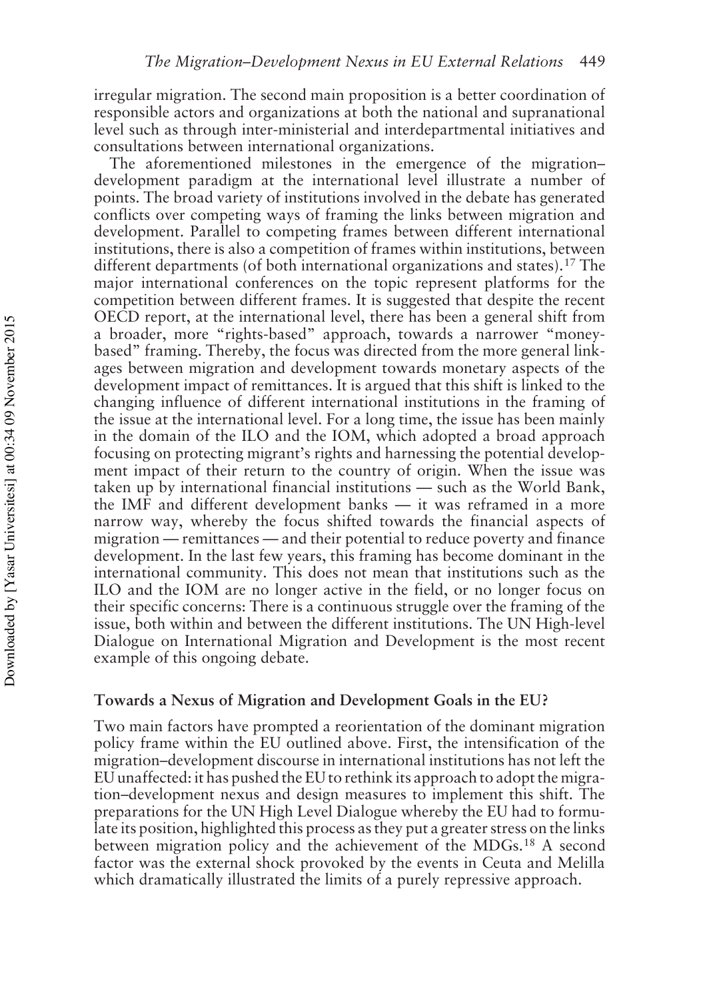irregular migration. The second main proposition is a better coordination of responsible actors and organizations at both the national and supranational level such as through inter-ministerial and interdepartmental initiatives and consultations between international organizations.

The aforementioned milestones in the emergence of the migration– development paradigm at the international level illustrate a number of points. The broad variety of institutions involved in the debate has generated conflicts over competing ways of framing the links between migration and development. Parallel to competing frames between different international institutions, there is also a competition of frames within institutions, between different departments (of both international organizations and states).<sup>17</sup> The major international conferences on the topic represent platforms for the competition between different frames. It is suggested that despite the recent OECD report, at the international level, there has been a general shift from a broader, more "rights-based" approach, towards a narrower "moneybased" framing. Thereby, the focus was directed from the more general linkages between migration and development towards monetary aspects of the development impact of remittances. It is argued that this shift is linked to the changing influence of different international institutions in the framing of the issue at the international level. For a long time, the issue has been mainly in the domain of the ILO and the IOM, which adopted a broad approach focusing on protecting migrant's rights and harnessing the potential development impact of their return to the country of origin. When the issue was taken up by international financial institutions — such as the World Bank, the IMF and different development banks — it was reframed in a more narrow way, whereby the focus shifted towards the financial aspects of migration — remittances — and their potential to reduce poverty and finance development. In the last few years, this framing has become dominant in the international community. This does not mean that institutions such as the ILO and the IOM are no longer active in the field, or no longer focus on their specific concerns: There is a continuous struggle over the framing of the issue, both within and between the different institutions. The UN High-level Dialogue on International Migration and Development is the most recent example of this ongoing debate.

#### **Towards a Nexus of Migration and Development Goals in the EU?**

Two main factors have prompted a reorientation of the dominant migration policy frame within the EU outlined above. First, the intensification of the migration–development discourse in international institutions has not left the EU unaffected: it has pushed the EU to rethink its approach to adopt the migration–development nexus and design measures to implement this shift. The preparations for the UN High Level Dialogue whereby the EU had to formulate its position, highlighted this process as they put a greater stress on the links between migration policy and the achievement of the MDGs.18 A second factor was the external shock provoked by the events in Ceuta and Melilla which dramatically illustrated the limits of a purely repressive approach.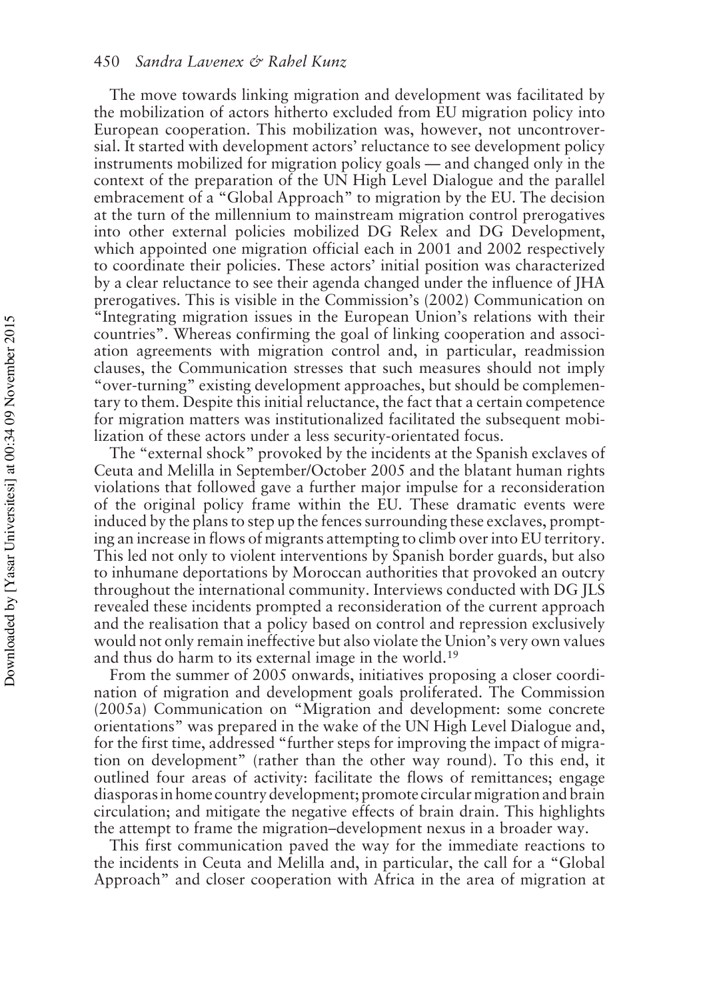The move towards linking migration and development was facilitated by the mobilization of actors hitherto excluded from EU migration policy into European cooperation. This mobilization was, however, not uncontroversial. It started with development actors' reluctance to see development policy instruments mobilized for migration policy goals — and changed only in the context of the preparation of the UN High Level Dialogue and the parallel embracement of a "Global Approach" to migration by the EU. The decision at the turn of the millennium to mainstream migration control prerogatives into other external policies mobilized DG Relex and DG Development, which appointed one migration official each in 2001 and 2002 respectively to coordinate their policies. These actors' initial position was characterized by a clear reluctance to see their agenda changed under the influence of JHA prerogatives. This is visible in the Commission's (2002) Communication on "Integrating migration issues in the European Union's relations with their countries". Whereas confirming the goal of linking cooperation and association agreements with migration control and, in particular, readmission clauses, the Communication stresses that such measures should not imply "over-turning" existing development approaches, but should be complementary to them. Despite this initial reluctance, the fact that a certain competence for migration matters was institutionalized facilitated the subsequent mobilization of these actors under a less security-orientated focus.

The "external shock" provoked by the incidents at the Spanish exclaves of Ceuta and Melilla in September/October 2005 and the blatant human rights violations that followed gave a further major impulse for a reconsideration of the original policy frame within the EU. These dramatic events were induced by the plans to step up the fences surrounding these exclaves, prompting an increase in flows of migrants attempting to climb over into EU territory. This led not only to violent interventions by Spanish border guards, but also to inhumane deportations by Moroccan authorities that provoked an outcry throughout the international community. Interviews conducted with DG JLS revealed these incidents prompted a reconsideration of the current approach and the realisation that a policy based on control and repression exclusively would not only remain ineffective but also violate the Union's very own values and thus do harm to its external image in the world.19

From the summer of 2005 onwards, initiatives proposing a closer coordination of migration and development goals proliferated. The Commission (2005a) Communication on "Migration and development: some concrete orientations" was prepared in the wake of the UN High Level Dialogue and, for the first time, addressed "further steps for improving the impact of migration on development" (rather than the other way round). To this end, it outlined four areas of activity: facilitate the flows of remittances; engage diasporas in home country development; promote circular migration and brain circulation; and mitigate the negative effects of brain drain. This highlights the attempt to frame the migration–development nexus in a broader way.

This first communication paved the way for the immediate reactions to the incidents in Ceuta and Melilla and, in particular, the call for a "Global Approach" and closer cooperation with Africa in the area of migration at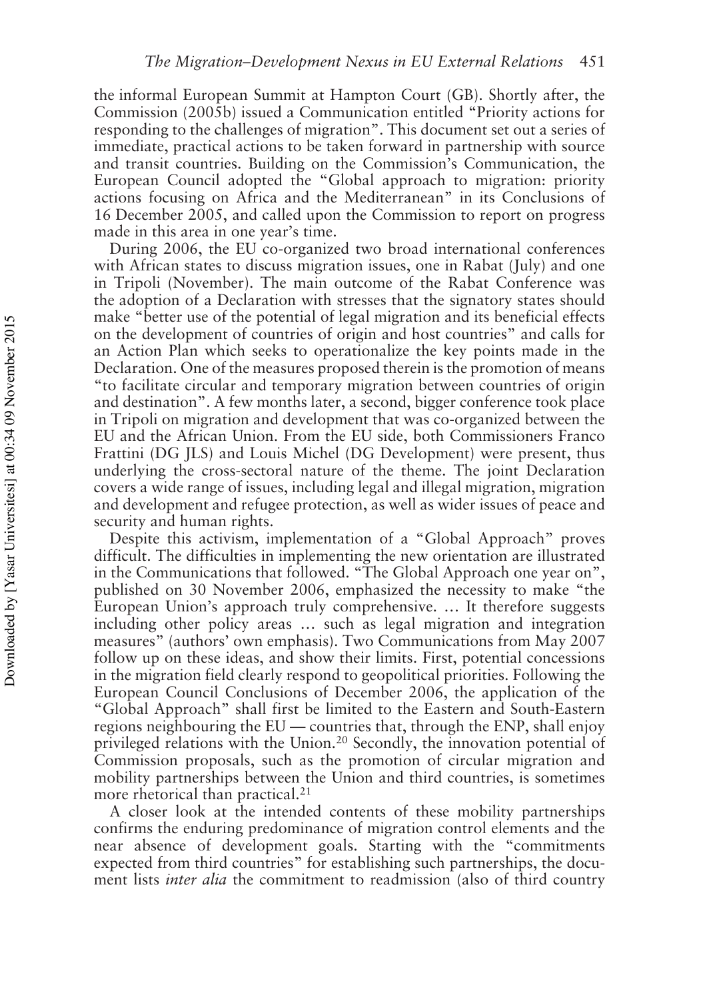the informal European Summit at Hampton Court (GB). Shortly after, the Commission (2005b) issued a Communication entitled "Priority actions for responding to the challenges of migration". This document set out a series of immediate, practical actions to be taken forward in partnership with source and transit countries. Building on the Commission's Communication, the European Council adopted the "Global approach to migration: priority actions focusing on Africa and the Mediterranean" in its Conclusions of 16 December 2005, and called upon the Commission to report on progress made in this area in one year's time.

During 2006, the EU co-organized two broad international conferences with African states to discuss migration issues, one in Rabat (July) and one in Tripoli (November). The main outcome of the Rabat Conference was the adoption of a Declaration with stresses that the signatory states should make "better use of the potential of legal migration and its beneficial effects on the development of countries of origin and host countries" and calls for an Action Plan which seeks to operationalize the key points made in the Declaration. One of the measures proposed therein is the promotion of means "to facilitate circular and temporary migration between countries of origin and destination". A few months later, a second, bigger conference took place in Tripoli on migration and development that was co-organized between the EU and the African Union. From the EU side, both Commissioners Franco Frattini (DG JLS) and Louis Michel (DG Development) were present, thus underlying the cross-sectoral nature of the theme. The joint Declaration covers a wide range of issues, including legal and illegal migration, migration and development and refugee protection, as well as wider issues of peace and security and human rights.

Despite this activism, implementation of a "Global Approach" proves difficult. The difficulties in implementing the new orientation are illustrated in the Communications that followed. "The Global Approach one year on", published on 30 November 2006, emphasized the necessity to make "the European Union's approach truly comprehensive. … It therefore suggests including other policy areas … such as legal migration and integration measures" (authors' own emphasis). Two Communications from May 2007 follow up on these ideas, and show their limits. First, potential concessions in the migration field clearly respond to geopolitical priorities. Following the European Council Conclusions of December 2006, the application of the "Global Approach" shall first be limited to the Eastern and South-Eastern regions neighbouring the EU — countries that, through the ENP, shall enjoy privileged relations with the Union.<sup>20</sup> Secondly, the innovation potential of Commission proposals, such as the promotion of circular migration and mobility partnerships between the Union and third countries, is sometimes more rhetorical than practical.<sup>21</sup>

A closer look at the intended contents of these mobility partnerships confirms the enduring predominance of migration control elements and the near absence of development goals. Starting with the "commitments expected from third countries" for establishing such partnerships, the document lists *inter alia* the commitment to readmission (also of third country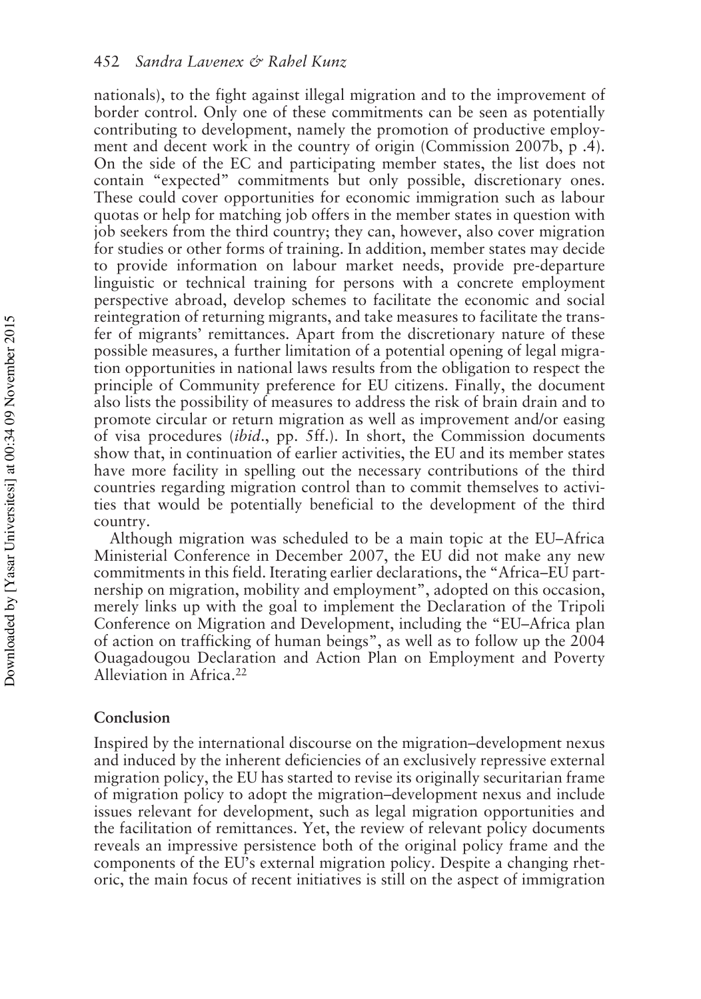nationals), to the fight against illegal migration and to the improvement of border control. Only one of these commitments can be seen as potentially contributing to development, namely the promotion of productive employment and decent work in the country of origin (Commission 2007b, p .4). On the side of the EC and participating member states, the list does not contain "expected" commitments but only possible, discretionary ones. These could cover opportunities for economic immigration such as labour quotas or help for matching job offers in the member states in question with job seekers from the third country; they can, however, also cover migration for studies or other forms of training. In addition, member states may decide to provide information on labour market needs, provide pre-departure linguistic or technical training for persons with a concrete employment perspective abroad, develop schemes to facilitate the economic and social reintegration of returning migrants, and take measures to facilitate the transfer of migrants' remittances. Apart from the discretionary nature of these possible measures, a further limitation of a potential opening of legal migration opportunities in national laws results from the obligation to respect the principle of Community preference for EU citizens. Finally, the document also lists the possibility of measures to address the risk of brain drain and to promote circular or return migration as well as improvement and/or easing of visa procedures (*ibid*., pp. 5ff.). In short, the Commission documents show that, in continuation of earlier activities, the EU and its member states have more facility in spelling out the necessary contributions of the third countries regarding migration control than to commit themselves to activities that would be potentially beneficial to the development of the third country.

Although migration was scheduled to be a main topic at the EU–Africa Ministerial Conference in December 2007, the EU did not make any new commitments in this field. Iterating earlier declarations, the "Africa–EU partnership on migration, mobility and employment", adopted on this occasion, merely links up with the goal to implement the Declaration of the Tripoli Conference on Migration and Development, including the "EU–Africa plan of action on trafficking of human beings", as well as to follow up the 2004 Ouagadougou Declaration and Action Plan on Employment and Poverty Alleviation in Africa.<sup>22</sup>

#### **Conclusion**

Inspired by the international discourse on the migration–development nexus and induced by the inherent deficiencies of an exclusively repressive external migration policy, the EU has started to revise its originally securitarian frame of migration policy to adopt the migration–development nexus and include issues relevant for development, such as legal migration opportunities and the facilitation of remittances. Yet, the review of relevant policy documents reveals an impressive persistence both of the original policy frame and the components of the EU's external migration policy. Despite a changing rhetoric, the main focus of recent initiatives is still on the aspect of immigration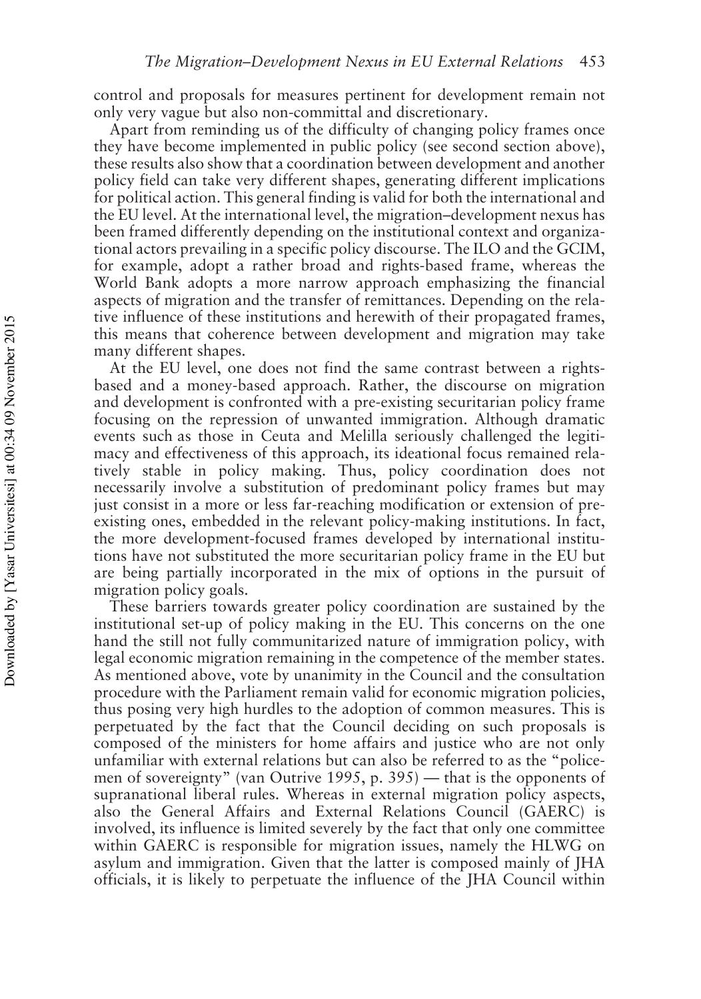control and proposals for measures pertinent for development remain not only very vague but also non-committal and discretionary.

Apart from reminding us of the difficulty of changing policy frames once they have become implemented in public policy (see second section above), these results also show that a coordination between development and another policy field can take very different shapes, generating different implications for political action. This general finding is valid for both the international and the EU level. At the international level, the migration–development nexus has been framed differently depending on the institutional context and organizational actors prevailing in a specific policy discourse. The ILO and the GCIM, for example, adopt a rather broad and rights-based frame, whereas the World Bank adopts a more narrow approach emphasizing the financial aspects of migration and the transfer of remittances. Depending on the relative influence of these institutions and herewith of their propagated frames, this means that coherence between development and migration may take many different shapes.

At the EU level, one does not find the same contrast between a rightsbased and a money-based approach. Rather, the discourse on migration and development is confronted with a pre-existing securitarian policy frame focusing on the repression of unwanted immigration. Although dramatic events such as those in Ceuta and Melilla seriously challenged the legitimacy and effectiveness of this approach, its ideational focus remained relatively stable in policy making. Thus, policy coordination does not necessarily involve a substitution of predominant policy frames but may just consist in a more or less far-reaching modification or extension of preexisting ones, embedded in the relevant policy-making institutions. In fact, the more development-focused frames developed by international institutions have not substituted the more securitarian policy frame in the EU but are being partially incorporated in the mix of options in the pursuit of migration policy goals.

These barriers towards greater policy coordination are sustained by the institutional set-up of policy making in the EU. This concerns on the one hand the still not fully communitarized nature of immigration policy, with legal economic migration remaining in the competence of the member states. As mentioned above, vote by unanimity in the Council and the consultation procedure with the Parliament remain valid for economic migration policies, thus posing very high hurdles to the adoption of common measures. This is perpetuated by the fact that the Council deciding on such proposals is composed of the ministers for home affairs and justice who are not only unfamiliar with external relations but can also be referred to as the "policemen of sovereignty" (van Outrive 1995, p. 395) — that is the opponents of supranational liberal rules. Whereas in external migration policy aspects, also the General Affairs and External Relations Council (GAERC) is involved, its influence is limited severely by the fact that only one committee within GAERC is responsible for migration issues, namely the HLWG on asylum and immigration. Given that the latter is composed mainly of JHA officials, it is likely to perpetuate the influence of the JHA Council within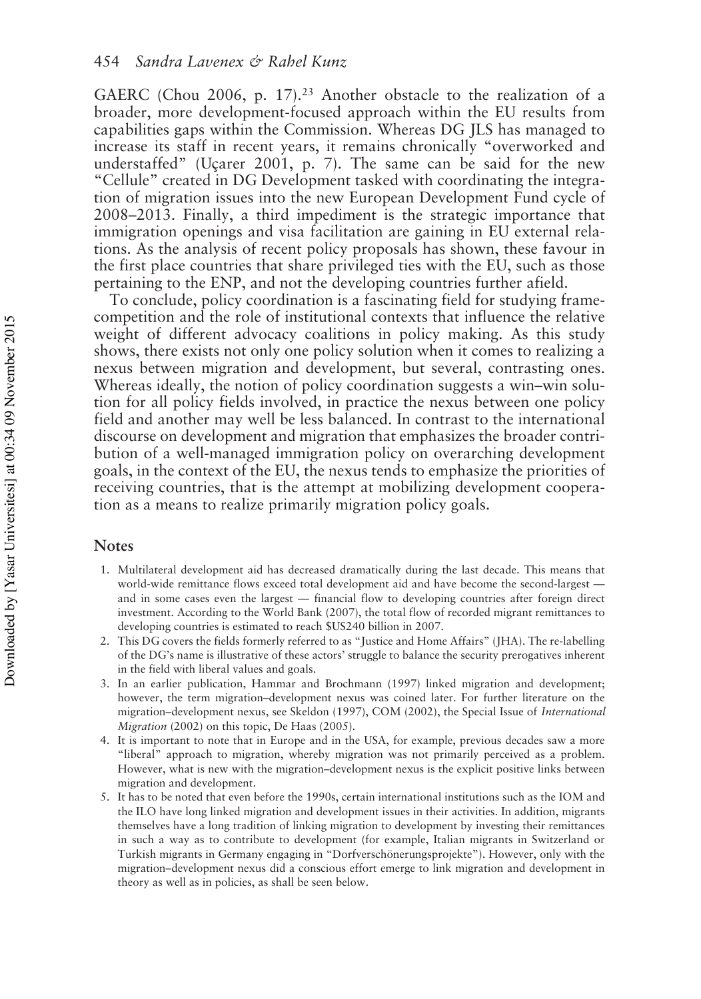GAERC (Chou 2006, p. 17).<sup>23</sup> Another obstacle to the realization of a broader, more development-focused approach within the EU results from capabilities gaps within the Commission. Whereas DG JLS has managed to increase its staff in recent years, it remains chronically "overworked and understaffed" (Uçarer 2001, p. 7). The same can be said for the new "Cellule" created in DG Development tasked with coordinating the integration of migration issues into the new European Development Fund cycle of 2008–2013. Finally, a third impediment is the strategic importance that immigration openings and visa facilitation are gaining in EU external relations. As the analysis of recent policy proposals has shown, these favour in the first place countries that share privileged ties with the EU, such as those pertaining to the ENP, and not the developing countries further afield.

To conclude, policy coordination is a fascinating field for studying framecompetition and the role of institutional contexts that influence the relative weight of different advocacy coalitions in policy making. As this study shows, there exists not only one policy solution when it comes to realizing a nexus between migration and development, but several, contrasting ones. Whereas ideally, the notion of policy coordination suggests a win–win solution for all policy fields involved, in practice the nexus between one policy field and another may well be less balanced. In contrast to the international discourse on development and migration that emphasizes the broader contribution of a well-managed immigration policy on overarching development goals, in the context of the EU, the nexus tends to emphasize the priorities of receiving countries, that is the attempt at mobilizing development cooperation as a means to realize primarily migration policy goals.

#### **Notes**

- 1. Multilateral development aid has decreased dramatically during the last decade. This means that world-wide remittance flows exceed total development aid and have become the second-largest and in some cases even the largest — financial flow to developing countries after foreign direct investment. According to the World Bank (2007), the total flow of recorded migrant remittances to developing countries is estimated to reach \$US240 billion in 2007.
- 2. This DG covers the fields formerly referred to as "Justice and Home Affairs" (JHA). The re-labelling of the DG's name is illustrative of these actors' struggle to balance the security prerogatives inherent in the field with liberal values and goals.
- 3. In an earlier publication, Hammar and Brochmann (1997) linked migration and development; however, the term migration–development nexus was coined later. For further literature on the migration–development nexus, see Skeldon (1997), COM (2002), the Special Issue of *International Migration* (2002) on this topic, De Haas (2005).
- 4. It is important to note that in Europe and in the USA, for example, previous decades saw a more "liberal" approach to migration, whereby migration was not primarily perceived as a problem. However, what is new with the migration–development nexus is the explicit positive links between migration and development.
- 5. It has to be noted that even before the 1990s, certain international institutions such as the IOM and the ILO have long linked migration and development issues in their activities. In addition, migrants themselves have a long tradition of linking migration to development by investing their remittances in such a way as to contribute to development (for example, Italian migrants in Switzerland or Turkish migrants in Germany engaging in "Dorfverschönerungsprojekte"). However, only with the migration–development nexus did a conscious effort emerge to link migration and development in theory as well as in policies, as shall be seen below.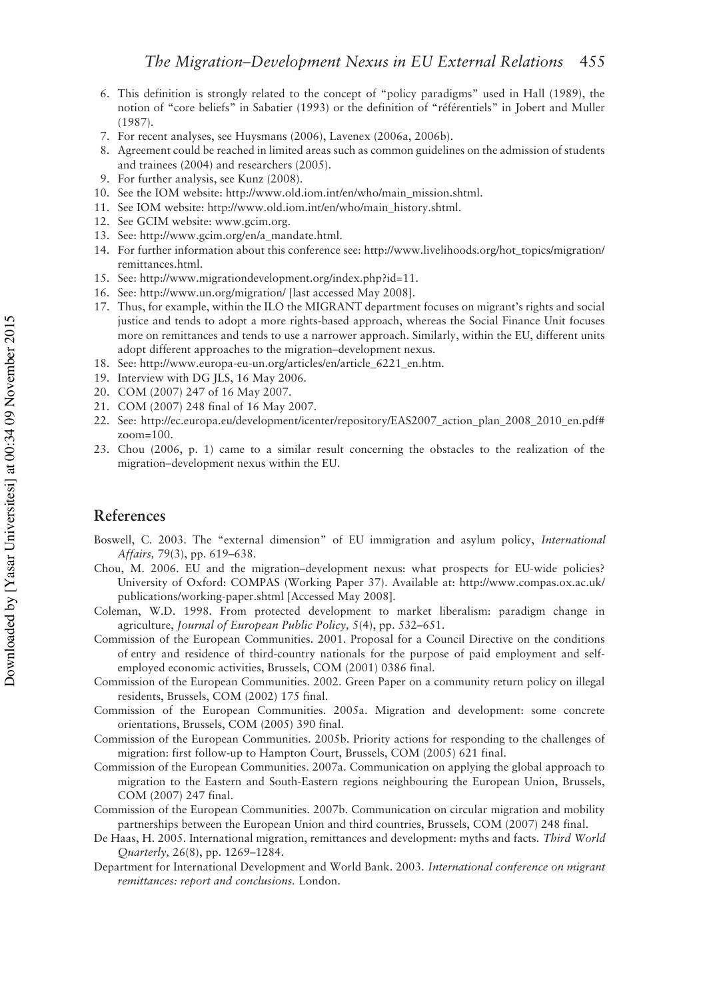- 6. This definition is strongly related to the concept of "policy paradigms" used in Hall (1989), the notion of "core beliefs" in Sabatier (1993) or the definition of "référentiels" in Jobert and Muller (1987).
- 7. For recent analyses, see Huysmans (2006), Lavenex (2006a, 2006b).
- 8. Agreement could be reached in limited areas such as common guidelines on the admission of students and trainees (2004) and researchers (2005).
- 9. For further analysis, see Kunz (2008).
- 10. See the IOM website: http://www.old.iom.int/en/who/main\_mission.shtml.
- 11. See IOM website: http://www.old.iom.int/en/who/main\_history.shtml.
- 12. See GCIM website: www.gcim.org.
- 13. See: http://www.gcim.org/en/a\_mandate.html.
- 14. For further information about this conference see: http://www.livelihoods.org/hot\_topics/migration/ remittances.html.
- 15. See: http://www.migrationdevelopment.org/index.php?id=11.
- 16. See: http://www.un.org/migration/ [last accessed May 2008].
- 17. Thus, for example, within the ILO the MIGRANT department focuses on migrant's rights and social justice and tends to adopt a more rights-based approach, whereas the Social Finance Unit focuses more on remittances and tends to use a narrower approach. Similarly, within the EU, different units adopt different approaches to the migration–development nexus.
- 18. See: http://www.europa-eu-un.org/articles/en/article\_6221\_en.htm.
- 19. Interview with DG JLS, 16 May 2006.
- 20. COM (2007) 247 of 16 May 2007.
- 21. COM (2007) 248 final of 16 May 2007.
- 22. See: http://ec.europa.eu/development/icenter/repository/EAS2007\_action\_plan\_2008\_2010\_en.pdf# zoom=100.
- 23. Chou (2006, p. 1) came to a similar result concerning the obstacles to the realization of the migration–development nexus within the EU.

#### **References**

- Boswell, C. 2003. The "external dimension" of EU immigration and asylum policy, *International Affairs,* 79(3), pp. 619–638.
- Chou, M. 2006. EU and the migration–development nexus: what prospects for EU-wide policies? University of Oxford: COMPAS (Working Paper 37). Available at: http://www.compas.ox.ac.uk/ publications/working-paper.shtml [Accessed May 2008].
- Coleman, W.D. 1998. From protected development to market liberalism: paradigm change in agriculture, *Journal of European Public Policy,* 5(4), pp. 532–651.
- Commission of the European Communities. 2001. Proposal for a Council Directive on the conditions of entry and residence of third-country nationals for the purpose of paid employment and selfemployed economic activities, Brussels, COM (2001) 0386 final.
- Commission of the European Communities. 2002. Green Paper on a community return policy on illegal residents, Brussels, COM (2002) 175 final.
- Commission of the European Communities. 2005a. Migration and development: some concrete orientations, Brussels, COM (2005) 390 final.
- Commission of the European Communities. 2005b. Priority actions for responding to the challenges of migration: first follow-up to Hampton Court, Brussels, COM (2005) 621 final.
- Commission of the European Communities. 2007a. Communication on applying the global approach to migration to the Eastern and South-Eastern regions neighbouring the European Union, Brussels, COM (2007) 247 final.
- Commission of the European Communities. 2007b. Communication on circular migration and mobility partnerships between the European Union and third countries, Brussels, COM (2007) 248 final.
- De Haas, H. 2005. International migration, remittances and development: myths and facts. *Third World Quarterly,* 26(8), pp. 1269–1284.
- Department for International Development and World Bank. 2003. *International conference on migrant remittances: report and conclusions.* London.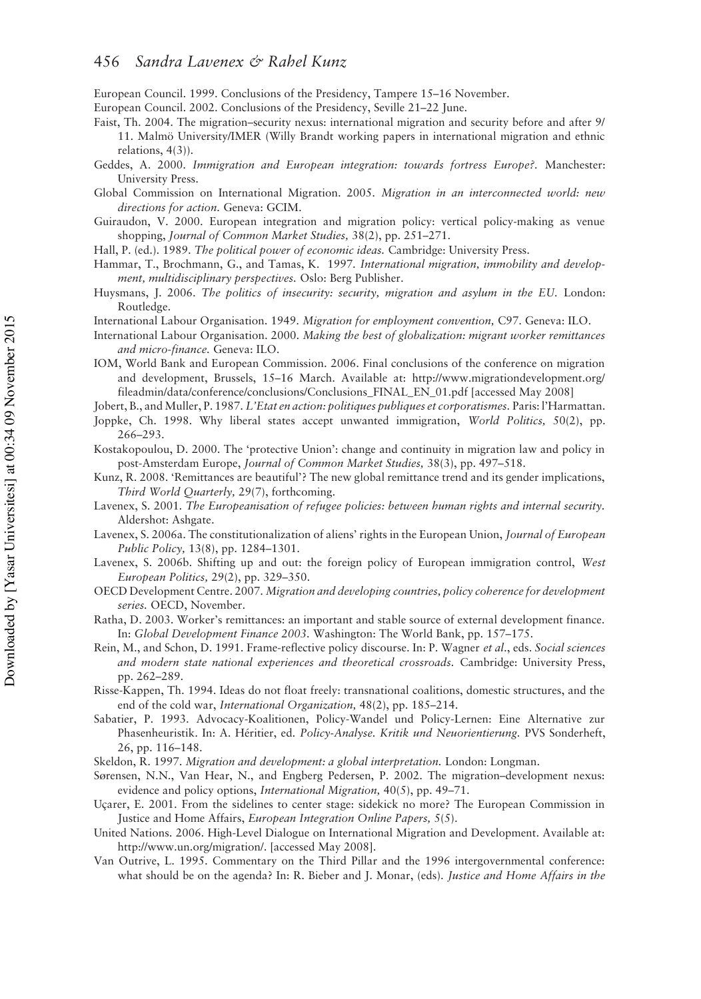European Council. 1999. Conclusions of the Presidency, Tampere 15–16 November.

European Council. 2002. Conclusions of the Presidency, Seville 21–22 June.

- Faist, Th. 2004. The migration–security nexus: international migration and security before and after 9/
	- 11. Malmö University/IMER (Willy Brandt working papers in international migration and ethnic relations, 4(3)).
- Geddes, A. 2000. *Immigration and European integration: towards fortress Europe?.* Manchester: University Press.
- Global Commission on International Migration. 2005. *Migration in an interconnected world: new directions for action.* Geneva: GCIM.
- Guiraudon, V. 2000. European integration and migration policy: vertical policy-making as venue shopping, *Journal of Common Market Studies,* 38(2), pp. 251–271.
- Hall, P. (ed.). 1989. *The political power of economic ideas.* Cambridge: University Press.
- Hammar, T., Brochmann, G., and Tamas, K. 1997. *International migration, immobility and development, multidisciplinary perspectives.* Oslo: Berg Publisher.
- Huysmans, J. 2006. *The politics of insecurity: security, migration and asylum in the EU.* London: Routledge.
- International Labour Organisation. 1949. *Migration for employment convention,* C97. Geneva: ILO.
- International Labour Organisation. 2000. *Making the best of globalization: migrant worker remittances and micro-finance.* Geneva: ILO.
- IOM, World Bank and European Commission. 2006. Final conclusions of the conference on migration and development, Brussels, 15–16 March. Available at: http://www.migrationdevelopment.org/ fileadmin/data/conference/conclusions/Conclusions\_FINAL\_EN\_01.pdf [accessed May 2008]
- Jobert, B., and Muller, P. 1987. *L'Etat en action: politiques publiques et corporatismes.* Paris: l'Harmattan.
- Joppke, Ch. 1998. Why liberal states accept unwanted immigration, *World Politics,* 50(2), pp. 266–293.
- Kostakopoulou, D. 2000. The 'protective Union': change and continuity in migration law and policy in post-Amsterdam Europe, *Journal of Common Market Studies,* 38(3), pp. 497–518.
- Kunz, R. 2008. 'Remittances are beautiful'? The new global remittance trend and its gender implications, *Third World Quarterly,* 29(7), forthcoming.
- Lavenex, S. 2001. *The Europeanisation of refugee policies: between human rights and internal security.* Aldershot: Ashgate.
- Lavenex, S. 2006a. The constitutionalization of aliens' rights in the European Union, *Journal of European Public Policy,* 13(8), pp. 1284–1301.
- Lavenex, S. 2006b. Shifting up and out: the foreign policy of European immigration control, *West European Politics,* 29(2), pp. 329–350.
- OECD Development Centre. 2007. *Migration and developing countries, policy coherence for development series.* OECD, November.
- Ratha, D. 2003. Worker's remittances: an important and stable source of external development finance. In: *Global Development Finance 2003.* Washington: The World Bank, pp. 157–175.
- Rein, M., and Schon, D. 1991. Frame-reflective policy discourse. In: P. Wagner *et al*., eds. *Social sciences and modern state national experiences and theoretical crossroads.* Cambridge: University Press, pp. 262–289.
- Risse-Kappen, Th. 1994. Ideas do not float freely: transnational coalitions, domestic structures, and the end of the cold war, *International Organization,* 48(2), pp. 185–214.
- Sabatier, P. 1993. Advocacy-Koalitionen, Policy-Wandel und Policy-Lernen: Eine Alternative zur Phasenheuristik. In: A. Héritier, ed. *Policy-Analyse. Kritik und Neuorientierung.* PVS Sonderheft, 26, pp. 116–148.

Skeldon, R. 1997. *Migration and development: a global interpretation.* London: Longman.

- Sørensen, N.N., Van Hear, N., and Engberg Pedersen, P. 2002. The migration–development nexus: evidence and policy options, *International Migration,* 40(5), pp. 49–71.
- Uçarer, E. 2001. From the sidelines to center stage: sidekick no more? The European Commission in Justice and Home Affairs, *European Integration Online Papers,* 5(5).
- United Nations. 2006. High-Level Dialogue on International Migration and Development. Available at: http://www.un.org/migration/. [accessed May 2008].
- Van Outrive, L. 1995. Commentary on the Third Pillar and the 1996 intergovernmental conference: what should be on the agenda? In: R. Bieber and J. Monar, (eds). *Justice and Home Affairs in the*